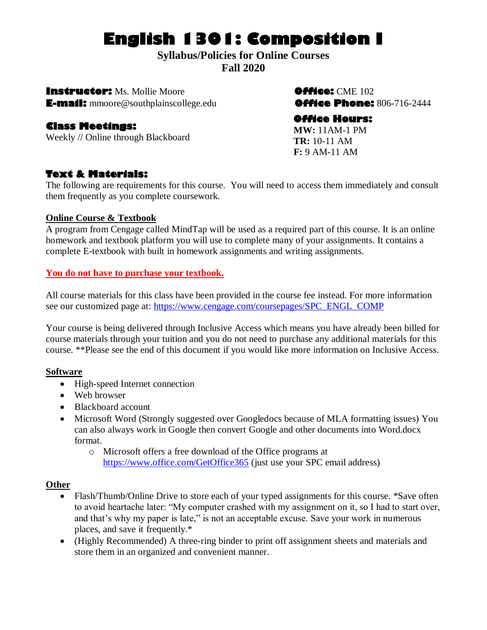# **English 1301: Composition I**

**Syllabus/Policies for Online Courses Fall 2020**

**Instructor:** Ms. Mollie Moore**Office:** CME 102 **E-mail:** mmoore@southplainscollege.edu**Office Phone:** 806-716-2444

#### **Class Meetings:**

Weekly // Online through Blackboard

## **Office Hours:**

**MW:** 11AM-1 PM **TR:** 10-11 AM **F:** 9 AM-11 AM

## **Text & Materials:**

The following are requirements for this course. You will need to access them immediately and consult them frequently as you complete coursework.

#### **Online Course & Textbook**

A program from Cengage called MindTap will be used as a required part of this course. It is an online homework and textbook platform you will use to complete many of your assignments. It contains a complete E-textbook with built in homework assignments and writing assignments.

#### **You do not have to purchase your textbook.**

All course materials for this class have been provided in the course fee instead. For more information see our customized page at: [https://www.cengage.com/coursepages/SPC\\_ENGL\\_COMP](https://www.cengage.com/coursepages/SPC_ENGL_COMP)

Your course is being delivered through Inclusive Access which means you have already been billed for course materials through your tuition and you do not need to purchase any additional materials for this course. \*\*Please see the end of this document if you would like more information on Inclusive Access.

#### **Software**

- High-speed Internet connection
- Web browser
- Blackboard account
- Microsoft Word (Strongly suggested over Googledocs because of MLA formatting issues) You can also always work in Google then convert Google and other documents into Word.docx format.
	- o Microsoft offers a free download of the Office programs at <https://www.office.com/GetOffice365> (just use your SPC email address)

#### **Other**

- Flash/Thumb/Online Drive to store each of your typed assignments for this course. \*Save often to avoid heartache later: "My computer crashed with my assignment on it, so I had to start over, and that's why my paper is late," is not an acceptable excuse. Save your work in numerous places, and save it frequently.\*
- (Highly Recommended) A three-ring binder to print off assignment sheets and materials and store them in an organized and convenient manner.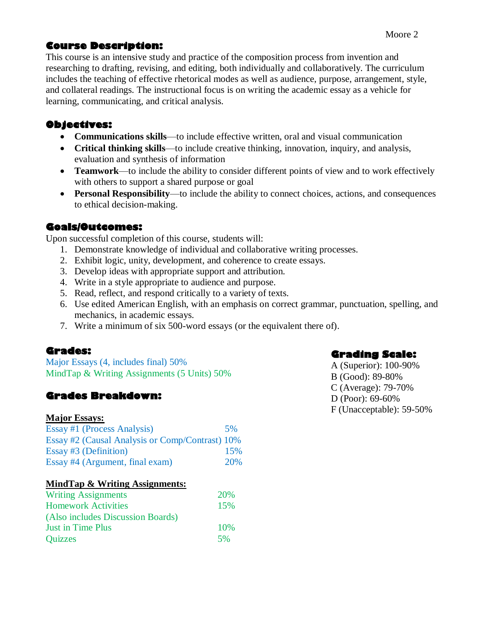## **Course Description:**

This course is an intensive study and practice of the composition process from invention and researching to drafting, revising, and editing, both individually and collaboratively. The curriculum includes the teaching of effective rhetorical modes as well as audience, purpose, arrangement, style, and collateral readings. The instructional focus is on writing the academic essay as a vehicle for learning, communicating, and critical analysis.

## **Objectives:**

- **Communications skills**—to include effective written, oral and visual communication
- **Critical thinking skills**—to include creative thinking, innovation, inquiry, and analysis, evaluation and synthesis of information
- **Teamwork**—to include the ability to consider different points of view and to work effectively with others to support a shared purpose or goal
- **Personal Responsibility**—to include the ability to connect choices, actions, and consequences to ethical decision-making.

#### **Goals/Outcomes:**

Upon successful completion of this course, students will:

- 1. Demonstrate knowledge of individual and collaborative writing processes.
- 2. Exhibit logic, unity, development, and coherence to create essays.
- 3. Develop ideas with appropriate support and attribution.
- 4. Write in a style appropriate to audience and purpose.
- 5. Read, reflect, and respond critically to a variety of texts.
- 6. Use edited American English, with an emphasis on correct grammar, punctuation, spelling, and mechanics, in academic essays.
- 7. Write a minimum of six 500-word essays (or the equivalent there of).

## **Grades:**

Major Essays (4, includes final) 50% MindTap & Writing Assignments (5 Units) 50%

#### **Grades Breakdown:**

#### **Major Essays:**

| Essay #1 (Process Analysis)                     | 5%         |
|-------------------------------------------------|------------|
| Essay #2 (Causal Analysis or Comp/Contrast) 10% |            |
| Essay #3 (Definition)                           | 15%        |
| Essay #4 (Argument, final exam)                 | <b>20%</b> |

#### **MindTap & Writing Assignments:**

| <b>Writing Assignments</b>        | 20% |
|-----------------------------------|-----|
| <b>Homework Activities</b>        | 15% |
| (Also includes Discussion Boards) |     |
| <b>Just in Time Plus</b>          | 10% |
| <b>Quizzes</b>                    | 5%  |

#### **Grading Scale:**

A (Superior): 100-90% B (Good): 89-80% C (Average): 79-70% D (Poor): 69-60% F (Unacceptable): 59-50%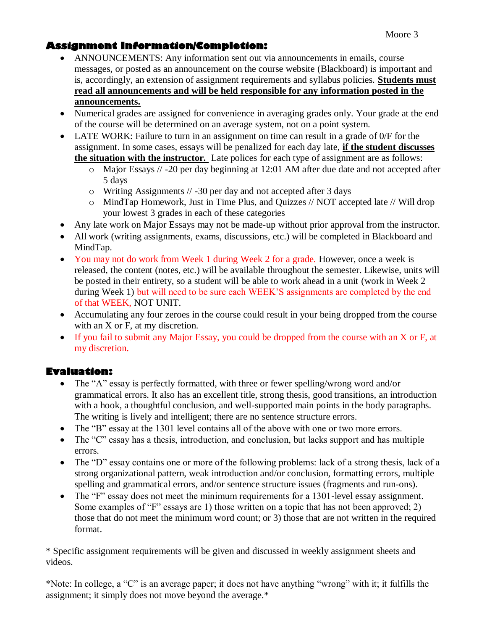#### **Assignment Information/Completion:**

- ANNOUNCEMENTS: Any information sent out via announcements in emails, course messages, or posted as an announcement on the course website (Blackboard) is important and is, accordingly, an extension of assignment requirements and syllabus policies. **Students must read all announcements and will be held responsible for any information posted in the announcements.**
- Numerical grades are assigned for convenience in averaging grades only. Your grade at the end of the course will be determined on an average system, not on a point system.
- LATE WORK: Failure to turn in an assignment on time can result in a grade of  $0/F$  for the assignment. In some cases, essays will be penalized for each day late, **if the student discusses the situation with the instructor.** Late polices for each type of assignment are as follows:
	- o Major Essays // -20 per day beginning at 12:01 AM after due date and not accepted after 5 days
	- o Writing Assignments // -30 per day and not accepted after 3 days
	- o MindTap Homework, Just in Time Plus, and Quizzes // NOT accepted late // Will drop your lowest 3 grades in each of these categories
- Any late work on Major Essays may not be made-up without prior approval from the instructor.
- All work (writing assignments, exams, discussions, etc.) will be completed in Blackboard and MindTap.
- You may not do work from Week 1 during Week 2 for a grade. However, once a week is released, the content (notes, etc.) will be available throughout the semester. Likewise, units will be posted in their entirety, so a student will be able to work ahead in a unit (work in Week 2 during Week 1) but will need to be sure each WEEK'S assignments are completed by the end of that WEEK, NOT UNIT.
- Accumulating any four zeroes in the course could result in your being dropped from the course with an X or F, at my discretion.
- If you fail to submit any Major Essay, you could be dropped from the course with an X or F, at my discretion.

## **Evaluation:**

- The "A" essay is perfectly formatted, with three or fewer spelling/wrong word and/or grammatical errors. It also has an excellent title, strong thesis, good transitions, an introduction with a hook, a thoughtful conclusion, and well-supported main points in the body paragraphs. The writing is lively and intelligent; there are no sentence structure errors.
- The "B" essay at the 1301 level contains all of the above with one or two more errors.
- The "C" essay has a thesis, introduction, and conclusion, but lacks support and has multiple errors.
- The "D" essay contains one or more of the following problems: lack of a strong thesis, lack of a strong organizational pattern, weak introduction and/or conclusion, formatting errors, multiple spelling and grammatical errors, and/or sentence structure issues (fragments and run-ons).
- The "F" essay does not meet the minimum requirements for a 1301-level essay assignment. Some examples of "F" essays are 1) those written on a topic that has not been approved; 2) those that do not meet the minimum word count; or 3) those that are not written in the required format.

\* Specific assignment requirements will be given and discussed in weekly assignment sheets and videos.

\*Note: In college, a "C" is an average paper; it does not have anything "wrong" with it; it fulfills the assignment; it simply does not move beyond the average.\*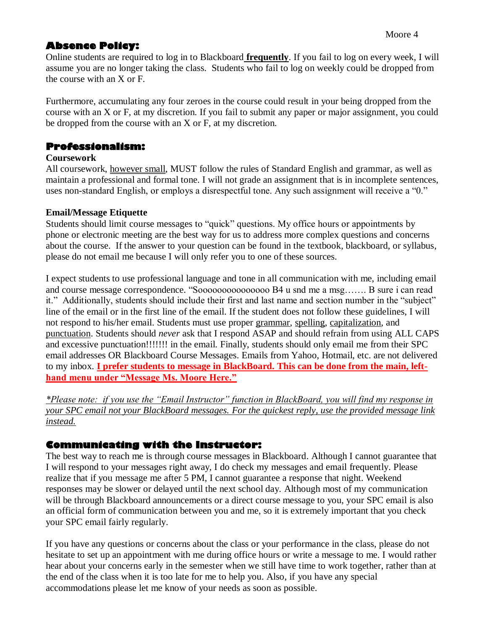## **Absence Policy:**

Online students are required to log in to Blackboard **frequently**. If you fail to log on every week, I will assume you are no longer taking the class. Students who fail to log on weekly could be dropped from the course with an X or F.

Furthermore, accumulating any four zeroes in the course could result in your being dropped from the course with an X or F, at my discretion. If you fail to submit any paper or major assignment, you could be dropped from the course with an X or F, at my discretion.

#### **Professionalism:**

#### **Coursework**

All coursework, however small, MUST follow the rules of Standard English and grammar, as well as maintain a professional and formal tone. I will not grade an assignment that is in incomplete sentences, uses non-standard English, or employs a disrespectful tone. Any such assignment will receive a "0."

#### **Email/Message Etiquette**

Students should limit course messages to "quick" questions. My office hours or appointments by phone or electronic meeting are the best way for us to address more complex questions and concerns about the course. If the answer to your question can be found in the textbook, blackboard, or syllabus, please do not email me because I will only refer you to one of these sources.

I expect students to use professional language and tone in all communication with me, including email and course message correspondence. "Sooooooooooooooo B4 u snd me a msg……. B sure i can read it." Additionally, students should include their first and last name and section number in the "subject" line of the email or in the first line of the email. If the student does not follow these guidelines, I will not respond to his/her email. Students must use proper grammar, spelling, capitalization, and punctuation. Students should *never* ask that I respond ASAP and should refrain from using ALL CAPS and excessive punctuation!!!!!!! in the email. Finally, students should only email me from their SPC email addresses OR Blackboard Course Messages. Emails from Yahoo, Hotmail, etc. are not delivered to my inbox. **I prefer students to message in BlackBoard. This can be done from the main, lefthand menu under "Message Ms. Moore Here."**

*\*Please note: if you use the "Email Instructor" function in BlackBoard, you will find my response in your SPC email not your BlackBoard messages. For the quickest reply, use the provided message link instead.*

#### **Communicating with the Instructor:**

The best way to reach me is through course messages in Blackboard. Although I cannot guarantee that I will respond to your messages right away, I do check my messages and email frequently. Please realize that if you message me after 5 PM, I cannot guarantee a response that night. Weekend responses may be slower or delayed until the next school day. Although most of my communication will be through Blackboard announcements or a direct course message to you, your SPC email is also an official form of communication between you and me, so it is extremely important that you check your SPC email fairly regularly.

If you have any questions or concerns about the class or your performance in the class, please do not hesitate to set up an appointment with me during office hours or write a message to me. I would rather hear about your concerns early in the semester when we still have time to work together, rather than at the end of the class when it is too late for me to help you. Also, if you have any special accommodations please let me know of your needs as soon as possible.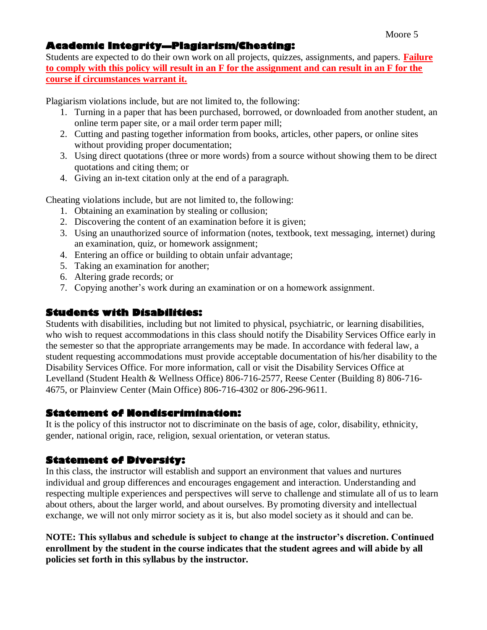#### **Academic Integrity—Plagiarism/Cheating:**

Students are expected to do their own work on all projects, quizzes, assignments, and papers. **Failure to comply with this policy will result in an F for the assignment and can result in an F for the course if circumstances warrant it.**

Plagiarism violations include, but are not limited to, the following:

- 1. Turning in a paper that has been purchased, borrowed, or downloaded from another student, an online term paper site, or a mail order term paper mill;
- 2. Cutting and pasting together information from books, articles, other papers, or online sites without providing proper documentation;
- 3. Using direct quotations (three or more words) from a source without showing them to be direct quotations and citing them; or
- 4. Giving an in-text citation only at the end of a paragraph.

Cheating violations include, but are not limited to, the following:

- 1. Obtaining an examination by stealing or collusion;
- 2. Discovering the content of an examination before it is given;
- 3. Using an unauthorized source of information (notes, textbook, text messaging, internet) during an examination, quiz, or homework assignment;
- 4. Entering an office or building to obtain unfair advantage;
- 5. Taking an examination for another;
- 6. Altering grade records; or
- 7. Copying another's work during an examination or on a homework assignment.

#### **Students with Disabilities:**

Students with disabilities, including but not limited to physical, psychiatric, or learning disabilities, who wish to request accommodations in this class should notify the Disability Services Office early in the semester so that the appropriate arrangements may be made. In accordance with federal law, a student requesting accommodations must provide acceptable documentation of his/her disability to the Disability Services Office. For more information, call or visit the Disability Services Office at Levelland (Student Health & Wellness Office) 806-716-2577, Reese Center (Building 8) 806-716- 4675, or Plainview Center (Main Office) 806-716-4302 or 806-296-9611.

#### **Statement of Nondiscrimination:**

It is the policy of this instructor not to discriminate on the basis of age, color, disability, ethnicity, gender, national origin, race, religion, sexual orientation, or veteran status.

#### **Statement of Diversity:**

In this class, the instructor will establish and support an environment that values and nurtures individual and group differences and encourages engagement and interaction. Understanding and respecting multiple experiences and perspectives will serve to challenge and stimulate all of us to learn about others, about the larger world, and about ourselves. By promoting diversity and intellectual exchange, we will not only mirror society as it is, but also model society as it should and can be.

**NOTE: This syllabus and schedule is subject to change at the instructor's discretion. Continued enrollment by the student in the course indicates that the student agrees and will abide by all policies set forth in this syllabus by the instructor.**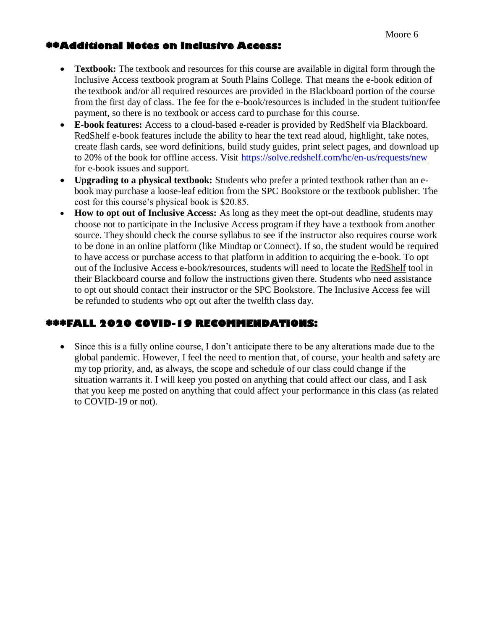#### **\*\*Additional Notes on Inclusive Access:**

- **Textbook:** The textbook and resources for this course are available in digital form through the Inclusive Access textbook program at South Plains College. That means the e-book edition of the textbook and/or all required resources are provided in the Blackboard portion of the course from the first day of class. The fee for the e-book/resources is included in the student tuition/fee payment, so there is no textbook or access card to purchase for this course.
- **E-book features:** Access to a cloud-based e-reader is provided by RedShelf via Blackboard. RedShelf e-book features include the ability to hear the text read aloud, highlight, take notes, create flash cards, see word definitions, build study guides, print select pages, and download up to 20% of the book for offline access. Visit<https://solve.redshelf.com/hc/en-us/requests/new> for e-book issues and support.
- **Upgrading to a physical textbook:** Students who prefer a printed textbook rather than an ebook may purchase a loose-leaf edition from the SPC Bookstore or the textbook publisher. The cost for this course's physical book is \$20.85.
- **How to opt out of Inclusive Access:** As long as they meet the opt-out deadline, students may choose not to participate in the Inclusive Access program if they have a textbook from another source. They should check the course syllabus to see if the instructor also requires course work to be done in an online platform (like Mindtap or Connect). If so, the student would be required to have access or purchase access to that platform in addition to acquiring the e-book. To opt out of the Inclusive Access e-book/resources, students will need to locate the RedShelf tool in their Blackboard course and follow the instructions given there. Students who need assistance to opt out should contact their instructor or the SPC Bookstore. The Inclusive Access fee will be refunded to students who opt out after the twelfth class day.

## **\*\*\*FALL 2020 COVID-19 RECOMMENDATIONS:**

• Since this is a fully online course, I don't anticipate there to be any alterations made due to the global pandemic. However, I feel the need to mention that, of course, your health and safety are my top priority, and, as always, the scope and schedule of our class could change if the situation warrants it. I will keep you posted on anything that could affect our class, and I ask that you keep me posted on anything that could affect your performance in this class (as related to COVID-19 or not).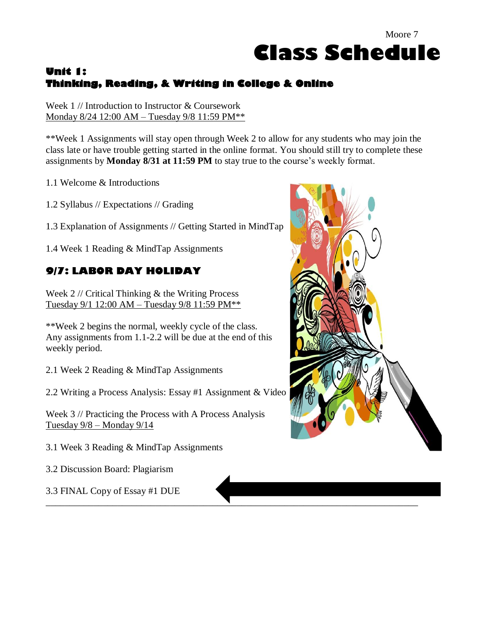## Moore 7 **Class Schedule**

## **Unit 1: Thinking, Reading, & Writing in College & Online**

Week 1 // Introduction to Instructor & Coursework Monday 8/24 12:00 AM – Tuesday 9/8 11:59 PM\*\*

\*\*Week 1 Assignments will stay open through Week 2 to allow for any students who may join the class late or have trouble getting started in the online format. You should still try to complete these assignments by **Monday 8/31 at 11:59 PM** to stay true to the course's weekly format.

\_\_\_\_\_\_\_\_\_\_\_\_\_\_\_\_\_\_\_\_\_\_\_\_\_\_\_\_\_\_\_\_\_\_\_\_\_\_\_\_\_\_\_\_\_\_\_\_\_\_\_\_\_\_\_\_\_\_\_\_\_\_\_\_\_\_\_\_\_\_\_\_\_\_\_\_\_\_

1.1 Welcome & Introductions

1.2 Syllabus // Expectations // Grading

1.3 Explanation of Assignments // Getting Started in MindTap

1.4 Week 1 Reading & MindTap Assignments

## **9/7: LABOR DAY HOLIDAY**

Week 2 // Critical Thinking & the Writing Process Tuesday 9/1 12:00 AM – Tuesday 9/8 11:59 PM\*\*

\*\*Week 2 begins the normal, weekly cycle of the class. Any assignments from 1.1-2.2 will be due at the end of this weekly period.

2.1 Week 2 Reading & MindTap Assignments

2.2 Writing a Process Analysis: Essay #1 Assignment & Video

Week 3 // Practicing the Process with A Process Analysis Tuesday 9/8 – Monday 9/14

3.1 Week 3 Reading & MindTap Assignments

3.2 Discussion Board: Plagiarism

3.3 FINAL Copy of Essay #1 DUE

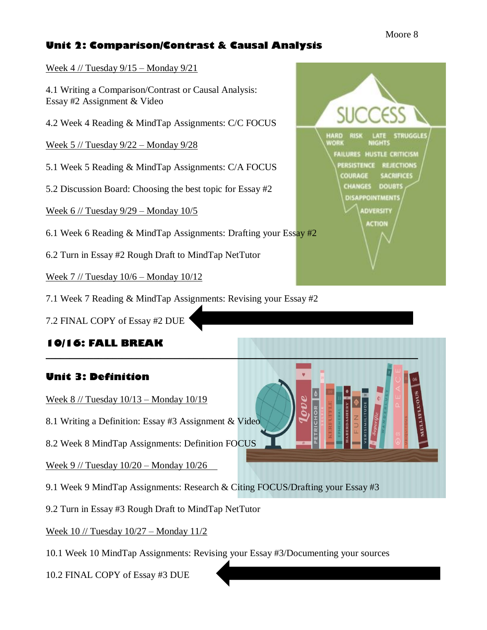## **Unit 2: Comparison/Contrast & Causal Analysis**

Week  $4$  // Tuesday  $9/15$  – Monday  $9/21$ 

4.1 Writing a Comparison/Contrast or Causal Analysis: Essay #2 Assignment & Video

4.2 Week 4 Reading & MindTap Assignments: C/C FOCUS

Week 5 // Tuesday 9/22 – Monday 9/28

5.1 Week 5 Reading & MindTap Assignments: C/A FOCUS

5.2 Discussion Board: Choosing the best topic for Essay #2

Week 6 // Tuesday 9/29 – Monday 10/5

6.1 Week 6 Reading & MindTap Assignments: Drafting your Essay #2

6.2 Turn in Essay #2 Rough Draft to MindTap NetTutor

Week 7 // Tuesday 10/6 – Monday 10/12

7.1 Week 7 Reading & MindTap Assignments: Revising your Essay #2

7.2 FINAL COPY of Essay #2 DUE

## **10/16: FALL BREAK**

## **Unit 3: Definition**

Week 8 // Tuesday 10/13 – Monday 10/19

8.1 Writing a Definition: Essay #3 Assignment & Video

8.2 Week 8 MindTap Assignments: Definition FOCUS

Week 9 // Tuesday 10/20 – Monday 10/26

9.1 Week 9 MindTap Assignments: Research & Citing FOCUS/Drafting your Essay #3

\_\_\_\_\_\_\_\_\_\_\_\_\_\_\_\_\_\_\_\_\_\_\_\_\_\_\_\_\_\_\_\_\_\_\_\_\_\_\_\_\_\_\_\_\_\_\_\_\_\_\_\_\_\_\_\_\_\_\_\_\_\_\_\_\_\_\_\_\_\_\_\_\_\_\_\_\_\_

**CHOR** 

9.2 Turn in Essay #3 Rough Draft to MindTap NetTutor

Week 10 // Tuesday 10/27 – Monday 11/2

10.1 Week 10 MindTap Assignments: Revising your Essay #3/Documenting your sources

10.2 FINAL COPY of Essay #3 DUE